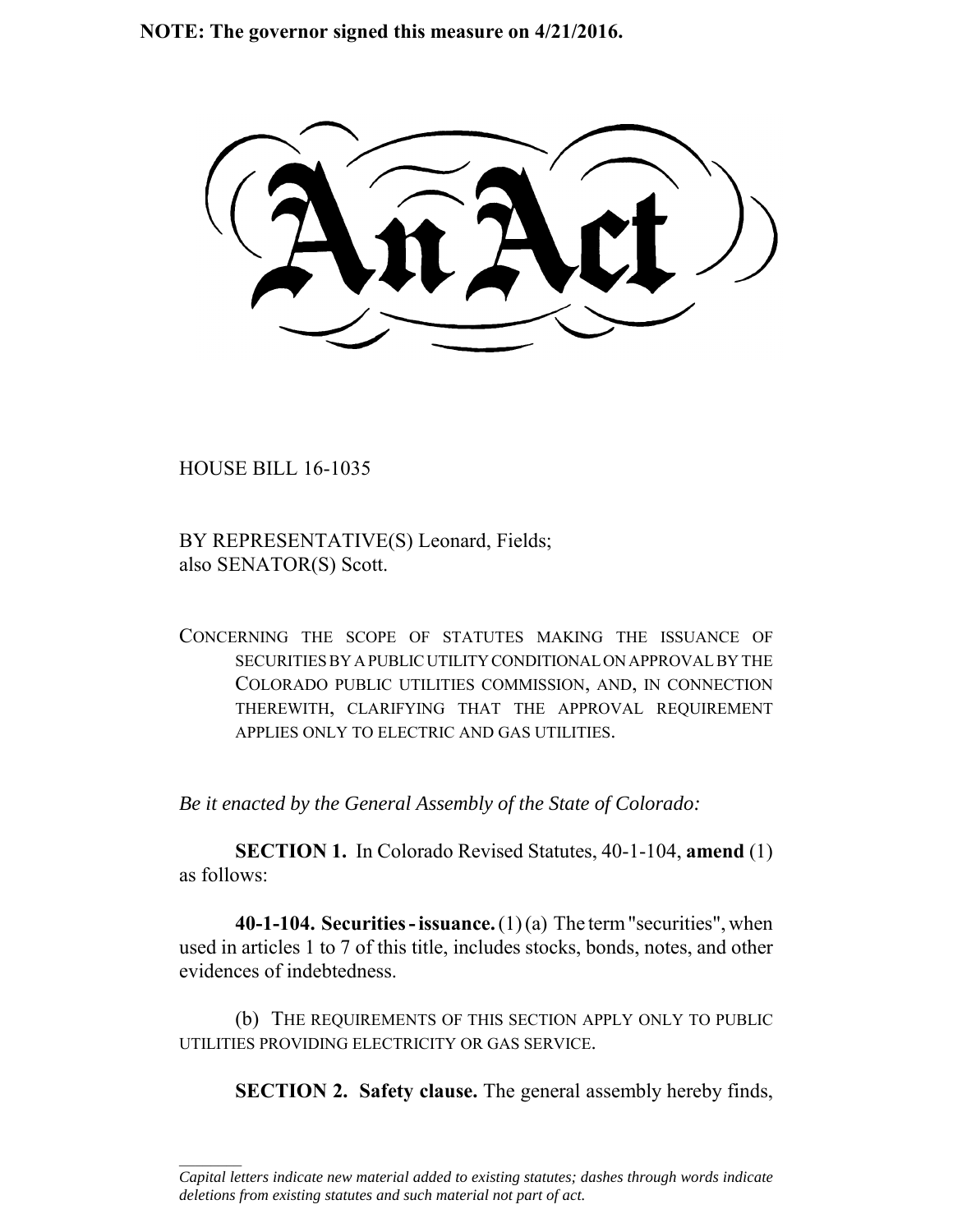**NOTE: The governor signed this measure on 4/21/2016.**

HOUSE BILL 16-1035

 $\frac{1}{2}$ 

BY REPRESENTATIVE(S) Leonard, Fields; also SENATOR(S) Scott.

CONCERNING THE SCOPE OF STATUTES MAKING THE ISSUANCE OF SECURITIES BY A PUBLIC UTILITY CONDITIONAL ON APPROVAL BY THE COLORADO PUBLIC UTILITIES COMMISSION, AND, IN CONNECTION THEREWITH, CLARIFYING THAT THE APPROVAL REQUIREMENT APPLIES ONLY TO ELECTRIC AND GAS UTILITIES.

*Be it enacted by the General Assembly of the State of Colorado:*

**SECTION 1.** In Colorado Revised Statutes, 40-1-104, **amend** (1) as follows:

**40-1-104. Securities - issuance.** (1) (a) The term "securities", when used in articles 1 to 7 of this title, includes stocks, bonds, notes, and other evidences of indebtedness.

(b) THE REQUIREMENTS OF THIS SECTION APPLY ONLY TO PUBLIC UTILITIES PROVIDING ELECTRICITY OR GAS SERVICE.

**SECTION 2. Safety clause.** The general assembly hereby finds,

*Capital letters indicate new material added to existing statutes; dashes through words indicate deletions from existing statutes and such material not part of act.*